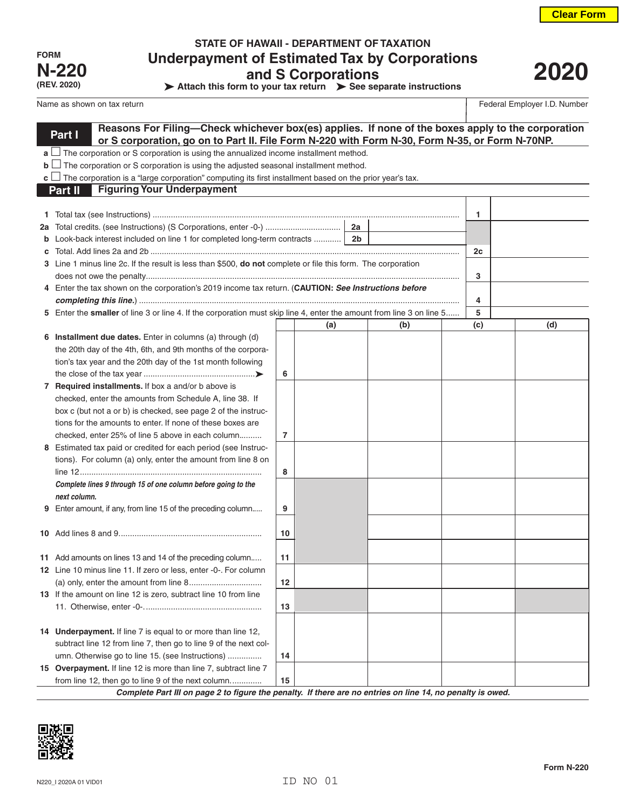**2020**

| <b>FORM</b>  |
|--------------|
| <b>N-220</b> |
| (REV. 2020)  |

# **STATE OF HAWAII - DEPARTMENT OF TAXATION Underpayment of Estimated Tax by Corporations and S Corporations**

**Attach this form to your tax return > See separate instructions** 

### Name as shown on tax return Federal Employer I.D. Number of the state of the state of the state of the state of the state of the state of the state of the state of the state of the state of the state of the state of the st

|    | Reasons For Filing-Check whichever box(es) applies. If none of the boxes apply to the corporation<br>Part I                                                                                      |    |                |     |     |     |  |
|----|--------------------------------------------------------------------------------------------------------------------------------------------------------------------------------------------------|----|----------------|-----|-----|-----|--|
|    | or S corporation, go on to Part II. File Form N-220 with Form N-30, Form N-35, or Form N-70NP.<br>$a$ $\Box$ The corporation or S corporation is using the annualized income installment method. |    |                |     |     |     |  |
|    | $\mathbf{b}$ $\Box$ The corporation or S corporation is using the adjusted seasonal installment method.                                                                                          |    |                |     |     |     |  |
|    | <b>c</b> $\Box$ The corporation is a "large corporation" computing its first installment based on the prior year's tax.                                                                          |    |                |     |     |     |  |
|    | <b>Figuring Your Underpayment</b><br>Part II                                                                                                                                                     |    |                |     |     |     |  |
|    |                                                                                                                                                                                                  |    |                |     |     |     |  |
|    |                                                                                                                                                                                                  |    |                |     | 1   |     |  |
| 2a |                                                                                                                                                                                                  |    | 2a             |     |     |     |  |
| b  | Look-back interest included on line 1 for completed long-term contracts                                                                                                                          |    | 2 <sub>b</sub> |     |     |     |  |
|    |                                                                                                                                                                                                  |    |                |     | 2c  |     |  |
|    | 3 Line 1 minus line 2c. If the result is less than \$500, <b>do not</b> complete or file this form. The corporation                                                                              |    |                |     |     |     |  |
|    |                                                                                                                                                                                                  |    |                |     | 3   |     |  |
|    | 4 Enter the tax shown on the corporation's 2019 income tax return. (CAUTION: See Instructions before                                                                                             |    |                |     |     |     |  |
|    |                                                                                                                                                                                                  |    |                |     | 4   |     |  |
|    | 5 Enter the smaller of line 3 or line 4. If the corporation must skip line 4, enter the amount from line 3 on line 5                                                                             |    |                |     | 5   |     |  |
|    |                                                                                                                                                                                                  |    | (a)            | (b) | (c) | (d) |  |
|    | 6 Installment due dates. Enter in columns (a) through (d)                                                                                                                                        |    |                |     |     |     |  |
|    | the 20th day of the 4th, 6th, and 9th months of the corpora-                                                                                                                                     |    |                |     |     |     |  |
|    | tion's tax year and the 20th day of the 1st month following                                                                                                                                      |    |                |     |     |     |  |
|    |                                                                                                                                                                                                  | 6  |                |     |     |     |  |
|    | 7 Required installments. If box a and/or b above is                                                                                                                                              |    |                |     |     |     |  |
|    | checked, enter the amounts from Schedule A, line 38. If                                                                                                                                          |    |                |     |     |     |  |
|    | box c (but not a or b) is checked, see page 2 of the instruc-                                                                                                                                    |    |                |     |     |     |  |
|    | tions for the amounts to enter. If none of these boxes are                                                                                                                                       |    |                |     |     |     |  |
|    | checked, enter 25% of line 5 above in each column                                                                                                                                                | 7  |                |     |     |     |  |
|    | 8 Estimated tax paid or credited for each period (see Instruc-                                                                                                                                   |    |                |     |     |     |  |
|    | tions). For column (a) only, enter the amount from line 8 on                                                                                                                                     |    |                |     |     |     |  |
|    |                                                                                                                                                                                                  | 8  |                |     |     |     |  |
|    | Complete lines 9 through 15 of one column before going to the                                                                                                                                    |    |                |     |     |     |  |
|    | next column.                                                                                                                                                                                     |    |                |     |     |     |  |
|    | 9 Enter amount, if any, from line 15 of the preceding column                                                                                                                                     | 9  |                |     |     |     |  |
|    |                                                                                                                                                                                                  | 10 |                |     |     |     |  |
|    |                                                                                                                                                                                                  |    |                |     |     |     |  |
|    | 11 Add amounts on lines 13 and 14 of the preceding column                                                                                                                                        | 11 |                |     |     |     |  |
|    | 12 Line 10 minus line 11. If zero or less, enter -0-. For column                                                                                                                                 |    |                |     |     |     |  |
|    |                                                                                                                                                                                                  | 12 |                |     |     |     |  |
|    | 13 If the amount on line 12 is zero, subtract line 10 from line                                                                                                                                  |    |                |     |     |     |  |
|    |                                                                                                                                                                                                  | 13 |                |     |     |     |  |
|    |                                                                                                                                                                                                  |    |                |     |     |     |  |
|    | 14 Underpayment. If line 7 is equal to or more than line 12,                                                                                                                                     |    |                |     |     |     |  |
|    | subtract line 12 from line 7, then go to line 9 of the next col-                                                                                                                                 |    |                |     |     |     |  |
|    | umn. Otherwise go to line 15. (see Instructions)                                                                                                                                                 | 14 |                |     |     |     |  |

*Complete Part III on page 2 to figure the penalty. If there are no entries on line 14, no penalty is owed.*



**15 Overpayment.** If line 12 is more than line 7, subtract line 7

from line 12, then go to line 9 of the next column.............. **15**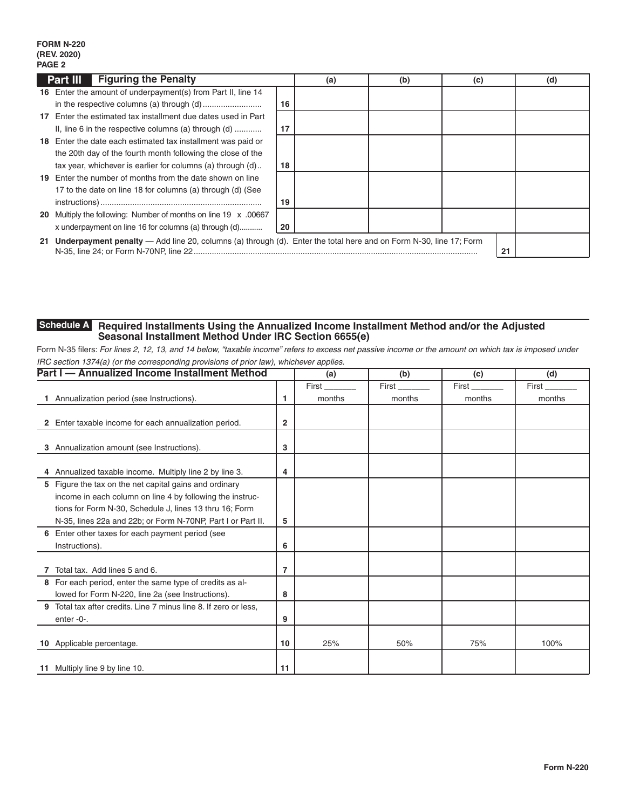### **FORM N-220 (REV. 2020) PAGE 2**

|    | <b>Part III</b> Figuring the Penalty                                                                                 |    | (a) | (b) | (c) |    | (d) |
|----|----------------------------------------------------------------------------------------------------------------------|----|-----|-----|-----|----|-----|
|    | 16 Enter the amount of underpayment(s) from Part II, line 14                                                         |    |     |     |     |    |     |
|    |                                                                                                                      | 16 |     |     |     |    |     |
| 17 | Enter the estimated tax installment due dates used in Part                                                           |    |     |     |     |    |     |
|    | II, line 6 in the respective columns (a) through $(d)$                                                               | 17 |     |     |     |    |     |
|    | 18 Enter the date each estimated tax installment was paid or                                                         |    |     |     |     |    |     |
|    | the 20th day of the fourth month following the close of the                                                          |    |     |     |     |    |     |
|    | tax year, whichever is earlier for columns (a) through (d)                                                           | 18 |     |     |     |    |     |
|    | 19 Enter the number of months from the date shown on line                                                            |    |     |     |     |    |     |
|    | 17 to the date on line 18 for columns (a) through (d) (See                                                           |    |     |     |     |    |     |
|    |                                                                                                                      | 19 |     |     |     |    |     |
|    | 20 Multiply the following: Number of months on line 19 x .00667                                                      |    |     |     |     |    |     |
|    | x underpayment on line 16 for columns (a) through (d)                                                                | 20 |     |     |     |    |     |
|    | 21 Underpayment penalty — Add line 20, columns (a) through (d). Enter the total here and on Form N-30, line 17; Form |    |     |     |     | 21 |     |

#### **Required Installments Using the Annualized Income Installment Method and/or the Adjusted Seasonal Installment Method Under IRC Section 6655(e) Schedule A**

Form N-35 filers: *For lines 2, 12, 13, and 14 below, "taxable income" refers to excess net passive income or the amount on which tax is imposed under IRC section 1374(a) (or the corresponding provisions of prior law), whichever applies.*

|   | Part I - Annualized Income Installment Method                  |              | (a)    | (b)    | (c)    | (d)    |
|---|----------------------------------------------------------------|--------------|--------|--------|--------|--------|
|   |                                                                |              | First  | First  | First  | First  |
|   | Annualization period (see Instructions).                       | 1            | months | months | months | months |
|   |                                                                |              |        |        |        |        |
|   | 2 Enter taxable income for each annualization period.          | $\mathbf{2}$ |        |        |        |        |
|   |                                                                |              |        |        |        |        |
| 3 | Annualization amount (see Instructions).                       | 3            |        |        |        |        |
|   |                                                                |              |        |        |        |        |
|   | 4 Annualized taxable income. Multiply line 2 by line 3.        | 4            |        |        |        |        |
|   | 5 Figure the tax on the net capital gains and ordinary         |              |        |        |        |        |
|   | income in each column on line 4 by following the instruc-      |              |        |        |        |        |
|   | tions for Form N-30, Schedule J, lines 13 thru 16; Form        |              |        |        |        |        |
|   | N-35, lines 22a and 22b; or Form N-70NP, Part I or Part II.    | 5            |        |        |        |        |
|   | 6 Enter other taxes for each payment period (see               |              |        |        |        |        |
|   | Instructions).                                                 | 6            |        |        |        |        |
|   |                                                                |              |        |        |        |        |
|   | Total tax. Add lines 5 and 6.                                  | 7            |        |        |        |        |
|   | 8 For each period, enter the same type of credits as al-       |              |        |        |        |        |
|   | lowed for Form N-220, line 2a (see Instructions).              | 8            |        |        |        |        |
| 9 | Total tax after credits. Line 7 minus line 8. If zero or less, |              |        |        |        |        |
|   | enter-0-.                                                      | 9            |        |        |        |        |
|   |                                                                |              |        |        |        |        |
|   | 10 Applicable percentage.                                      | 10           | 25%    | 50%    | 75%    | 100%   |
|   |                                                                |              |        |        |        |        |
|   | 11 Multiply line 9 by line 10.                                 | 11           |        |        |        |        |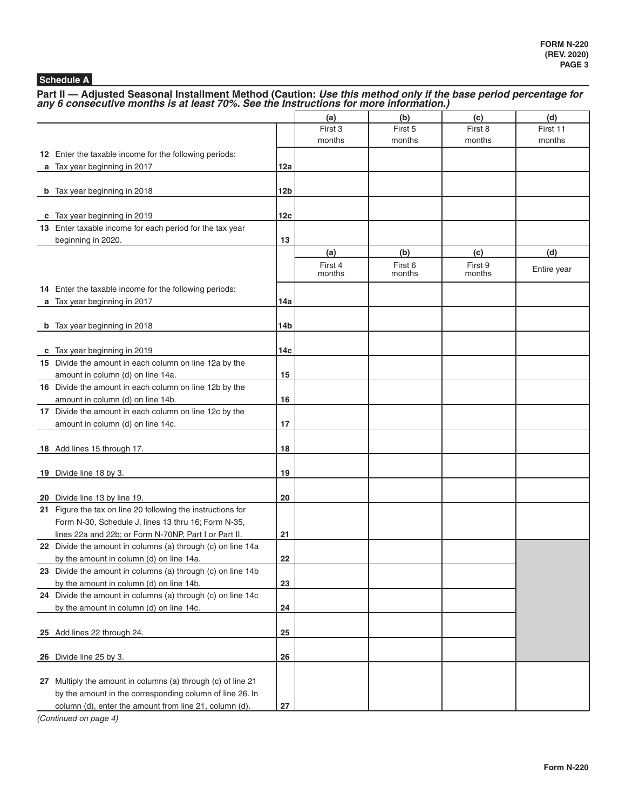## **Schedule A**

Part II — Adjusted Seasonal Installment Method (Caution: *Use this method only if the base period percentage for any 6 consecutive months is at least 70%. See the Instructions for more information.)* 

|                                                              |                 | (a)     | (b)     | (c)     | (d)         |
|--------------------------------------------------------------|-----------------|---------|---------|---------|-------------|
|                                                              |                 | First 3 | First 5 | First 8 | First 11    |
|                                                              |                 | months  | months  | months  | months      |
| 12 Enter the taxable income for the following periods:       |                 |         |         |         |             |
| a Tax year beginning in 2017                                 | 12a             |         |         |         |             |
|                                                              |                 |         |         |         |             |
| <b>b</b> Tax year beginning in 2018                          | 12 <sub>b</sub> |         |         |         |             |
|                                                              |                 |         |         |         |             |
| c Tax year beginning in 2019                                 | 12c             |         |         |         |             |
| 13 Enter taxable income for each period for the tax year     |                 |         |         |         |             |
| beginning in 2020.                                           | 13              |         |         |         |             |
|                                                              |                 | (a)     | (b)     | (c)     | (d)         |
|                                                              |                 | First 4 | First 6 | First 9 | Entire year |
|                                                              |                 | months  | months  | months  |             |
| 14 Enter the taxable income for the following periods:       |                 |         |         |         |             |
| a Tax year beginning in 2017                                 | 14a             |         |         |         |             |
|                                                              |                 |         |         |         |             |
| <b>b</b> Tax year beginning in 2018                          | 14b             |         |         |         |             |
|                                                              |                 |         |         |         |             |
| c Tax year beginning in 2019                                 | 14с             |         |         |         |             |
| 15 Divide the amount in each column on line 12a by the       |                 |         |         |         |             |
| amount in column (d) on line 14a.                            | 15              |         |         |         |             |
| 16 Divide the amount in each column on line 12b by the       |                 |         |         |         |             |
| amount in column (d) on line 14b.                            | 16              |         |         |         |             |
| 17 Divide the amount in each column on line 12c by the       |                 |         |         |         |             |
| amount in column (d) on line 14c.                            | 17              |         |         |         |             |
|                                                              | 18              |         |         |         |             |
| 18 Add lines 15 through 17.                                  |                 |         |         |         |             |
| 19 Divide line 18 by 3.                                      | 19              |         |         |         |             |
|                                                              |                 |         |         |         |             |
| 20 Divide line 13 by line 19.                                | 20              |         |         |         |             |
| 21 Figure the tax on line 20 following the instructions for  |                 |         |         |         |             |
| Form N-30, Schedule J, lines 13 thru 16; Form N-35,          |                 |         |         |         |             |
| lines 22a and 22b; or Form N-70NP, Part I or Part II.        | 21              |         |         |         |             |
| 22 Divide the amount in columns (a) through (c) on line 14a  |                 |         |         |         |             |
| by the amount in column (d) on line 14a.                     | 22              |         |         |         |             |
| 23 Divide the amount in columns (a) through (c) on line 14b  |                 |         |         |         |             |
| by the amount in column (d) on line 14b.                     | 23              |         |         |         |             |
| 24 Divide the amount in columns (a) through (c) on line 14c  |                 |         |         |         |             |
| by the amount in column (d) on line 14c.                     | 24              |         |         |         |             |
|                                                              |                 |         |         |         |             |
| 25 Add lines 22 through 24.                                  | 25              |         |         |         |             |
|                                                              |                 |         |         |         |             |
| 26 Divide line 25 by 3.                                      | 26              |         |         |         |             |
|                                                              |                 |         |         |         |             |
| 27 Multiply the amount in columns (a) through (c) of line 21 |                 |         |         |         |             |
| by the amount in the corresponding column of line 26. In     |                 |         |         |         |             |
| column (d), enter the amount from line 21, column (d).       | 27              |         |         |         |             |

*(Continued on page 4)*